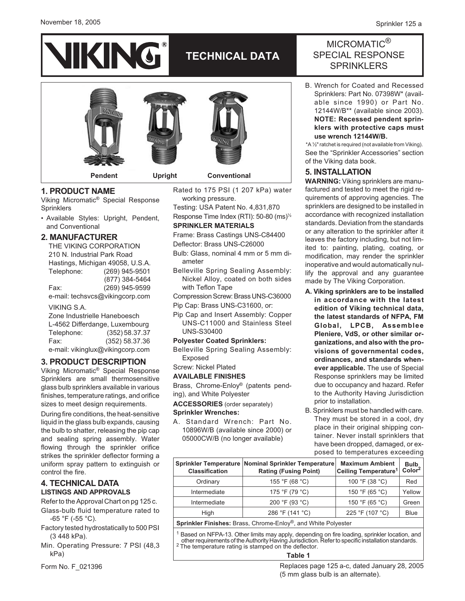### November 18, 2005





## **1. PRODUCT NAME**

Viking Micromatic® Special Response Sprinklers

• Available Styles: Upright, Pendent, and Conventional

## **2. MANUFACTURER**

THE VIKING CORPORATION 210 N. Industrial Park Road Hastings, Michigan 49058, U.S.A. Telephone: (269) 945-9501 (877) 384-5464 Fax: (269) 945-9599 e-mail: techsvcs@vikingcorp.com

VIKING S.A.

Zone Industrielle Haneboesch L-4562 Differdange, Luxembourg Telephone: (352) 58.37.37 Fax: (352) 58.37.36 e-mail: vikinglux@vikingcorp.com

## **3. PRODUCT DESCRIPTION**

Viking Micromatic® Special Response Sprinklers are small thermosensitive glass bulb sprinklers available in various finishes, temperature ratings, and orifice sizes to meet design requirements.

During fire conditions, the heat-sensitive liquid in the glass bulb expands, causing the bulb to shatter, releasing the pip cap and sealing spring assembly. Water flowing through the sprinkler orifice strikes the sprinkler deflector forming a uniform spray pattern to extinguish or control the fire.

# **4. TECHNICAL DATA LISTINGS AND APPROVALS**

- Refer to the Approval Chart on pg 125 c. Glass-bulb fluid temperature rated to -65 °F (-55 °C).
- Factory tested hydrostatically to 500 PSI (3 448 kPa).

Min. Operating Pressure: 7 PSI (48,3 kPa)

Form No. F\_021396

Rated to 175 PSI (1 207 kPa) water working pressure. Testing: USA Patent No. 4,831,870

Response Time Index (RTI): 50-80 (ms)½ **SPRINKLER MATERIALS**

Frame: Brass Castings UNS-C84400 Deflector: Brass UNS-C26000

- Bulb: Glass, nominal 4 mm or 5 mm diameter
- Belleville Spring Sealing Assembly: Nickel Alloy, coated on both sides with Teflon Tape

Compression Screw: Brass UNS-C36000 Pip Cap: Brass UNS-C31600, or:

Pip Cap and Insert Assembly: Copper UNS-C11000 and Stainless Steel UNS-S30400

### **Polyester Coated Sprinklers:**

- Belleville Spring Sealing Assembly: Exposed
- Screw: Nickel Plated

### **AVAILABLE FINISHES**

Brass, Chrome-Enloy® (patents pending), and White Polyester

**ACCESSORIES** (order separately)

### **Sprinkler Wrenches:**

A. Standard Wrench: Part No. 10896W/B (available since 2000) or 05000CW/B (no longer available)

# MICROMATIC<sup>®</sup> SPECIAL RESPONSE **SPRINKLERS**

B. Wrench for Coated and Recessed Sprinklers: Part No. 07398W\* (available since 1990) or Part No. 12144W/B\*\* (available since 2003). **NOTE: Recessed pendent sprinklers with protective caps must use wrench 12144W/B.**

\*A ½" ratchet is required (not available from Viking). See the "Sprinkler Accessories" section of the Viking data book.

# **5. INSTALLATION**

**WARNING:** Viking sprinklers are manufactured and tested to meet the rigid requirements of approving agencies. The sprinklers are designed to be installed in accordance with recognized installation standards. Deviation from the standards or any alteration to the sprinkler after it leaves the factory including, but not limited to: painting, plating, coating, or modification, may render the sprinkler inoperative and would automatically nullify the approval and any guarantee made by The Viking Corporation.

- **A. Viking sprinklers are to be installed in accordance with the latest edition of Viking technical data, the latest standards of NFPA, FM Global, LPCB, Assemblee Pleniere, VdS, or other similar organizations, and also with the provisions of governmental codes, ordinances, and standards whenever applicable.** The use of Special Response sprinklers may be limited due to occupancy and hazard. Refer to the Authority Having Jurisdiction prior to installation.
- B. Sprinklers must be handled with care. They must be stored in a cool, dry place in their original shipping container. Never install sprinklers that have been dropped, damaged, or exposed to temperatures exceeding

| <b>Classification</b> | Sprinkler Temperature Nominal Sprinkler Temperature<br><b>Rating (Fusing Point)</b> | <b>Maximum Ambient</b><br>Ceiling Temperature <sup>1</sup> | Bulb<br>Color <sup>2</sup> |
|-----------------------|-------------------------------------------------------------------------------------|------------------------------------------------------------|----------------------------|
| Ordinary              | 155 °F (68 °C)                                                                      | 100 °F (38 °C)                                             | Red                        |
| Intermediate          | 175 °F (79 °C)                                                                      | 150 °F (65 °C)                                             | Yellow                     |
| Intermediate          | 200 °F (93 °C)                                                                      | 150 °F (65 °C)                                             | Green                      |
| High                  | 286 °F (141 °C)                                                                     | 225 °F (107 °C)                                            | <b>Blue</b>                |
|                       |                                                                                     |                                                            |                            |

**Sprinkler Finishes:** Brass, Chrome-Enloy®, and White Polyester

<sup>1</sup> Based on NFPA-13. Other limits may apply, depending on fire loading, sprinkler location, and other requirements of the AuthorityHaving Jurisdiction. Refer to specific installation standards. <sup>2</sup> The temperature rating is stamped on the deflector.

### **Table 1**

Replaces page 125 a-c, dated January 28, 2005 (5 mm glass bulb is an alternate).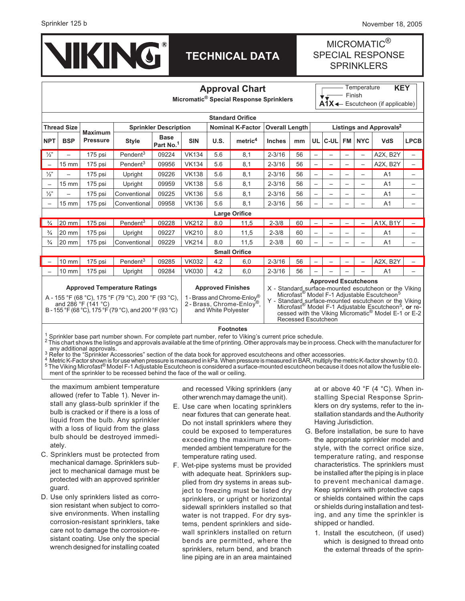

# **TECHNICAL DATA**

# MICROMATIC<sup>®</sup> SPECIAL RESPONSE **SPRINKLERS**

| <b>Approval Chart</b><br>Micromatic <sup>®</sup> Special Response Sprinklers                                                                                                                                                                                                                                                                                                                                                                                                                                                                                                                                                                                                                 |                 |                 |                              |                          |                         |      |                       |               |                                     | Temperature<br><b>KEY</b><br>Finish<br>$A1X \leftarrow$ Escutcheon (if applicable) |             |                          |            |                |             |
|----------------------------------------------------------------------------------------------------------------------------------------------------------------------------------------------------------------------------------------------------------------------------------------------------------------------------------------------------------------------------------------------------------------------------------------------------------------------------------------------------------------------------------------------------------------------------------------------------------------------------------------------------------------------------------------------|-----------------|-----------------|------------------------------|--------------------------|-------------------------|------|-----------------------|---------------|-------------------------------------|------------------------------------------------------------------------------------|-------------|--------------------------|------------|----------------|-------------|
| <b>Standard Orifice</b>                                                                                                                                                                                                                                                                                                                                                                                                                                                                                                                                                                                                                                                                      |                 |                 |                              |                          |                         |      |                       |               |                                     |                                                                                    |             |                          |            |                |             |
| <b>Thread Size</b>                                                                                                                                                                                                                                                                                                                                                                                                                                                                                                                                                                                                                                                                           |                 | <b>Maximum</b>  | <b>Sprinkler Description</b> |                          | <b>Nominal K-Factor</b> |      | <b>Overall Length</b> |               | Listings and Approvals <sup>2</sup> |                                                                                    |             |                          |            |                |             |
| <b>NPT</b>                                                                                                                                                                                                                                                                                                                                                                                                                                                                                                                                                                                                                                                                                   | <b>BSP</b>      | <b>Pressure</b> | <b>Style</b>                 | <b>Base</b><br>Part No.1 | <b>SIN</b>              | U.S. | metric <sup>4</sup>   | <b>Inches</b> | mm                                  | UL                                                                                 | <b>C-UL</b> | <b>FM</b>                | <b>NYC</b> | <b>VdS</b>     | <b>LPCB</b> |
| $\frac{1}{2}$                                                                                                                                                                                                                                                                                                                                                                                                                                                                                                                                                                                                                                                                                |                 | 175 psi         | Pendent <sup>3</sup>         | 09224                    | <b>VK134</b>            | 5.6  | 8,1                   | $2 - 3/16$    | 56                                  |                                                                                    |             |                          | —          | A2X, B2Y       |             |
| $\overline{\phantom{0}}$                                                                                                                                                                                                                                                                                                                                                                                                                                                                                                                                                                                                                                                                     | 15 mm           | 175 psi         | Pendent <sup>3</sup>         | 09956                    | <b>VK134</b>            | 5.6  | 8,1                   | $2 - 3/16$    | 56                                  |                                                                                    |             |                          |            | A2X, B2Y       |             |
| $\frac{1}{2}$                                                                                                                                                                                                                                                                                                                                                                                                                                                                                                                                                                                                                                                                                |                 | 175 psi         | Upright                      | 09226                    | <b>VK138</b>            | 5.6  | 8,1                   | $2 - 3/16$    | 56                                  | $\overline{\phantom{0}}$                                                           |             | $\overline{\phantom{0}}$ |            | A <sub>1</sub> |             |
| $\overline{\phantom{0}}$                                                                                                                                                                                                                                                                                                                                                                                                                                                                                                                                                                                                                                                                     | $15 \text{ mm}$ | 175 psi         | Upright                      | 09959                    | <b>VK138</b>            | 5.6  | 8,1                   | $2 - 3/16$    | 56                                  |                                                                                    |             |                          |            | A <sub>1</sub> |             |
| $\frac{1}{2}$                                                                                                                                                                                                                                                                                                                                                                                                                                                                                                                                                                                                                                                                                |                 | 175 psi         | Conventional                 | 09225                    | <b>VK136</b>            | 5.6  | 8,1                   | $2 - 3/16$    | 56                                  |                                                                                    |             |                          |            | A <sub>1</sub> |             |
| $\overline{\phantom{0}}$                                                                                                                                                                                                                                                                                                                                                                                                                                                                                                                                                                                                                                                                     | 15 mm           | 175 psi         | Conventional                 | 09958                    | <b>VK136</b>            | 5.6  | 8.1                   | $2 - 3/16$    | 56                                  |                                                                                    |             |                          |            | A <sub>1</sub> |             |
| <b>Large Orifice</b>                                                                                                                                                                                                                                                                                                                                                                                                                                                                                                                                                                                                                                                                         |                 |                 |                              |                          |                         |      |                       |               |                                     |                                                                                    |             |                          |            |                |             |
| $\frac{3}{4}$                                                                                                                                                                                                                                                                                                                                                                                                                                                                                                                                                                                                                                                                                | 20 mm           | 175 psi         | Pendent <sup>3</sup>         | 09228                    | <b>VK212</b>            | 8.0  | 11.5                  | $2 - 3/8$     | 60                                  |                                                                                    |             |                          |            | A1X, B1Y       |             |
| $\frac{3}{4}$                                                                                                                                                                                                                                                                                                                                                                                                                                                                                                                                                                                                                                                                                | 20 mm           | 175 psi         | Upright                      | 09227                    | <b>VK210</b>            | 8.0  | 11,5                  | $2 - 3/8$     | 60                                  |                                                                                    |             |                          |            | A <sub>1</sub> |             |
| $\frac{3}{4}$                                                                                                                                                                                                                                                                                                                                                                                                                                                                                                                                                                                                                                                                                | 20 mm           | 175 psi         | Conventional                 | 09229                    | <b>VK214</b>            | 8.0  | 11,5                  | $2 - 3/8$     | 60                                  |                                                                                    |             |                          |            | A <sub>1</sub> |             |
| <b>Small Orifice</b>                                                                                                                                                                                                                                                                                                                                                                                                                                                                                                                                                                                                                                                                         |                 |                 |                              |                          |                         |      |                       |               |                                     |                                                                                    |             |                          |            |                |             |
|                                                                                                                                                                                                                                                                                                                                                                                                                                                                                                                                                                                                                                                                                              | $10 \text{ mm}$ | 175 psi         | Pendent <sup>3</sup>         | 09285                    | <b>VK032</b>            | 4.2  | 6,0                   | $2 - 3/16$    | 56                                  |                                                                                    |             |                          |            | A2X, B2Y       |             |
|                                                                                                                                                                                                                                                                                                                                                                                                                                                                                                                                                                                                                                                                                              | $10 \text{ mm}$ | 175 psi         | Upright                      | 09284                    | <b>VK030</b>            | 4.2  | 6.0                   | $2 - 3/16$    | 56                                  |                                                                                    |             |                          |            | A <sub>1</sub> |             |
| <b>Approved Escutcheons</b><br><b>Approved Temperature Ratings</b><br><b>Approved Finishes</b><br>X - Standard surface-mounted escutcheon or the Viking<br>Microfast <sup>®</sup> Model F-1 Adjustable Escutcheon <sup>5</sup><br>A - 155 °F (68 °C), 175 °F (79 °C), 200 °F (93 °C),<br>1 - Brass and Chrome-Enloy®<br>Y - Standard surface-mounted escutcheon or the Viking<br>2 - Brass, Chrome-Enloy®,<br>and 286 °F (141 °C)<br>Microfast <sup>®</sup> Model F-1 Adjustable Escutcheon <sup>5</sup> , or re-<br>B - 155 °F (68 °C), 175 °F (79 °C), and 200 °F (93 °C)<br>and White Polyester<br>cessed with the Viking Micromatic <sup>®</sup> Model E-1 or E-2<br>Recessed Escutcheon |                 |                 |                              |                          |                         |      |                       |               |                                     |                                                                                    |             |                          |            |                |             |

**Footnotes**

<sup>1</sup> Sprinkler base part number shown. For complete part number, refer to Viking's current price schedule.<br><sup>2</sup> This chart shows the listings and approvals available at the time of printing. Other approvals may be in proces

a grip and the "Sprinkler Accessories" section of the data book for approved escutcheons and other accessories.<br>A Metric K-Factor shown is for use when pressure is measured in kPa. When pressure is measured in BAR, multipl ment of the sprinkler to be recessed behind the face of the wall or ceiling.

the maximum ambient temperature allowed (refer to Table 1). Never install any glass-bulb sprinkler if the bulb is cracked or if there is a loss of liquid from the bulb. Any sprinkler with a loss of liquid from the glass bulb should be destroyed immediately.

- C. Sprinklers must be protected from mechanical damage. Sprinklers subject to mechanical damage must be protected with an approved sprinkler guard.
- D. Use only sprinklers listed as corrosion resistant when subject to corrosive environments. When installing corrosion-resistant sprinklers, take care not to damage the corrosion-resistant coating. Use only the special wrench designed for installing coated

and recessed Viking sprinklers (any other wrenchmay damage the unit).

- E. Use care when locating sprinklers near fixtures that can generate heat. Do not install sprinklers where they could be exposed to temperatures exceeding the maximum recommended ambient temperature for the temperature rating used.
- F. Wet-pipe systems must be provided with adequate heat. Sprinklers supplied from dry systems in areas subject to freezing must be listed dry sprinklers, or upright or horizontal sidewall sprinklers installed so that water is not trapped. For dry systems, pendent sprinklers and sidewall sprinklers installed on return bends are permitted, where the sprinklers, return bend, and branch line piping are in an area maintained

at or above 40 °F (4 °C). When installing Special Response Sprinklers on dry systems, refer to the installation standards and the Authority Having Jurisdiction.

- G. Before installation, be sure to have the appropriate sprinkler model and style, with the correct orifice size, temperature rating, and response characteristics. The sprinklers must be installed after the piping is in place to prevent mechanical damage. Keep sprinklers with protective caps or shields contained within the caps or shields during installation and testing, and any time the sprinkler is shipped or handled.
	- 1. Install the escutcheon, (if used) which is designed to thread onto the external threads of the sprin-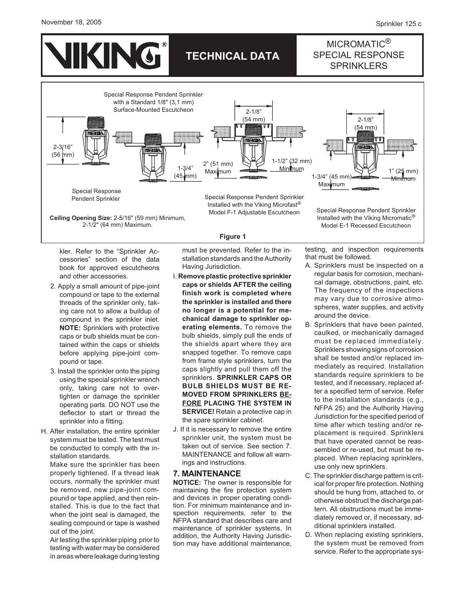#### November 18, 2005



kler. Refer to the "Sprinkler Ac-

2-1/2" (64 mm) Maximum.

cessories" section of the data book for approved escutcheons and other accessories.

- 2. Apply a small amount of pipe-joint compound or tape to the external threads of the sprinkler only, taking care not to allow a buildup of compound in the sprinkler inlet. **NOTE:** Sprinklers with protective caps or bulb shields must be contained within the caps or shields before applying pipe-joint compound or tape.
- 3. Install the sprinkler onto the piping using the special sprinkler wrench only, taking care not to overtighten or damage the sprinkler operating parts. DO NOT use the deflector to start or thread the sprinkler into a fitting.
- H. After installation, the entire sprinkler system must be tested. The test must be conducted to comply with the installation standards.

Make sure the sprinkler has been properly tightened. If a thread leak occurs, normally the sprinkler must be removed, new pipe-joint compound or tape applied, and then reinstalled. This is due to the fact that when the joint seal is damaged, the sealing compound or tape is washed out of the joint.

Air testing the sprinkler piping prior to testing with water may be considered in areas where leakage during testing must be prevented. Refer to the installation standards and the Authority Having Jurisdiction.

**Figure 1**

- I. **Remove plastic protective sprinkler caps or shields AFTER the ceiling finish work is completed where the sprinkler is installed and there no longer is a potential for mechanical damage to sprinkler operating elements.** To remove the bulb shields, simply pull the ends of the shields apart where they are snapped together. To remove caps from frame style sprinklers, turn the caps slightly and pull them off the sprinklers. **SPRINKLER CAPS OR BULB SHIELDS MUST BE RE-MOVED FROM SPRINKLERS BE-FORE PLACING THE SYSTEM IN SERVICE!** Retain a protective cap in the spare sprinkler cabinet.
- J. If it is necessary to remove the entire sprinkler unit, the system must be taken out of service. See section 7. MAINTENANCE and follow all warnings and instructions.

### **7. MAINTENANCE**

**NOTICE:** The owner is responsible for maintaining the fire protection system and devices in proper operating condition. For minimum maintenance and inspection requirements, refer to the NFPA standard that describes care and maintenance of sprinkler systems. In addition, the Authority Having Jurisdiction may have additional maintenance, testing, and inspection requirements that must be followed.

Model E-1 Recessed Escutcheon

- A. Sprinklers must be inspected on a regular basis for corrosion, mechanical damage, obstructions, paint, etc. The frequency of the inspections may vary due to corrosive atmospheres, water supplies, and activity around the device.
- B. Sprinklers that have been painted, caulked, or mechanically damaged must be replaced immediately. Sprinklers showing signs of corrosion shall be tested and/or replaced immediately as required. Installation standards require sprinklers to be tested, and if necessary, replaced after a specified term of service. Refer to the installation standards (e.g., NFPA 25) and the Authority Having Jurisdiction for the specified period of time after which testing and/or replacement is required. Sprinklers that have operated cannot be reassembled or re-used, but must be replaced. When replacing sprinklers, use only new sprinklers.
- C. The sprinkler discharge pattern is critical for proper fire protection. Nothing should be hung from, attached to, or otherwise obstruct the discharge pattern. All obstructions must be immediately removed or, if necessary, additional sprinklers installed.
- D. When replacing existing sprinklers, the system must be removed from service. Refer to the appropriate sys-